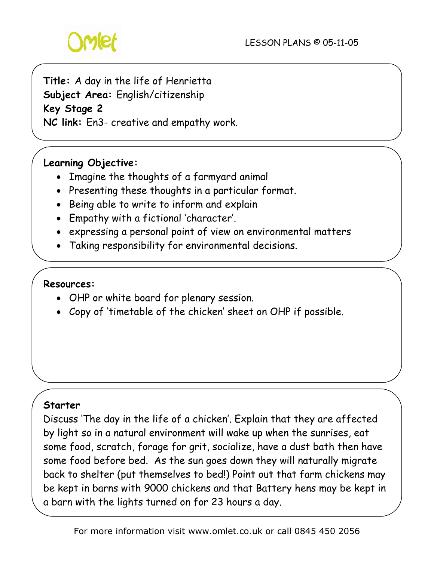

# **Title:** A day in the life of Henrietta

**Subject Area:** English/citizenship

**Key Stage 2**

**NC link:** En3- creative and empathy work.

### **Learning Objective:**

- Imagine the thoughts of a farmyard animal
- Presenting these thoughts in a particular format.
- Being able to write to inform and explain
- Empathy with a fictional 'character'.
- expressing a personal point of view on environmental matters
- Taking responsibility for environmental decisions.

#### **Resources:**

- OHP or white board for plenary session.
- Copy of 'timetable of the chicken' sheet on OHP if possible.

#### **Starter**

Discuss 'The day in the life of a chicken'. Explain that they are affected by light so in a natural environment will wake up when the sunrises, eat some food, scratch, forage for grit, socialize, have a dust bath then have some food before bed. As the sun goes down they will naturally migrate back to shelter (put themselves to bed!) Point out that farm chickens may be kept in barns with 9000 chickens and that Battery hens may be kept in a barn with the lights turned on for 23 hours a day.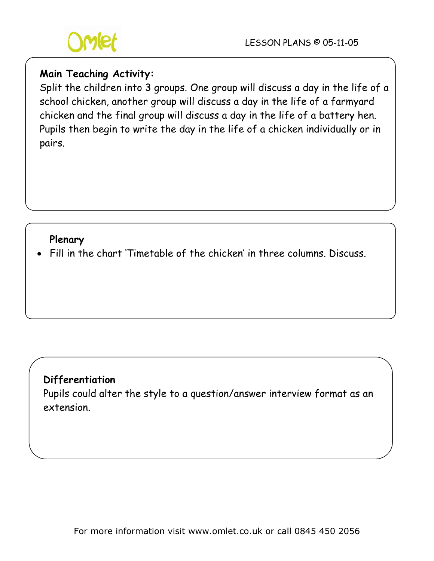

#### **Main Teaching Activity:**

Split the children into 3 groups. One group will discuss a day in the life of a school chicken, another group will discuss a day in the life of a farmyard chicken and the final group will discuss a day in the life of a battery hen. Pupils then begin to write the day in the life of a chicken individually or in pairs.

#### **Plenary**

• Fill in the chart 'Timetable of the chicken' in three columns. Discuss.

## **Differentiation**

Pupils could alter the style to a question/answer interview format as an extension.